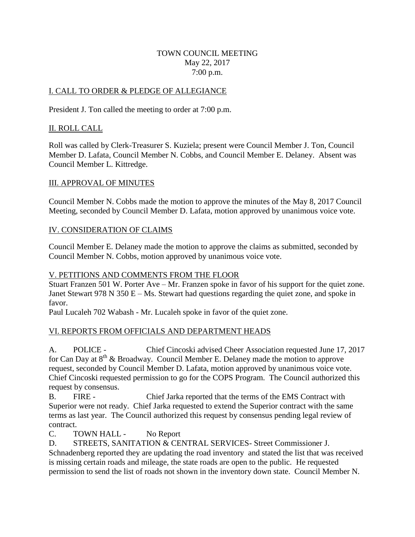#### TOWN COUNCIL MEETING May 22, 2017 7:00 p.m.

## I. CALL TO ORDER & PLEDGE OF ALLEGIANCE

President J. Ton called the meeting to order at 7:00 p.m.

# II. ROLL CALL

Roll was called by Clerk-Treasurer S. Kuziela; present were Council Member J. Ton, Council Member D. Lafata, Council Member N. Cobbs, and Council Member E. Delaney. Absent was Council Member L. Kittredge.

# III. APPROVAL OF MINUTES

Council Member N. Cobbs made the motion to approve the minutes of the May 8, 2017 Council Meeting, seconded by Council Member D. Lafata, motion approved by unanimous voice vote.

# IV. CONSIDERATION OF CLAIMS

Council Member E. Delaney made the motion to approve the claims as submitted, seconded by Council Member N. Cobbs, motion approved by unanimous voice vote.

## V. PETITIONS AND COMMENTS FROM THE FLOOR

Stuart Franzen 501 W. Porter Ave – Mr. Franzen spoke in favor of his support for the quiet zone. Janet Stewart 978 N 350 E – Ms. Stewart had questions regarding the quiet zone, and spoke in favor.

Paul Lucaleh 702 Wabash - Mr. Lucaleh spoke in favor of the quiet zone.

# VI. REPORTS FROM OFFICIALS AND DEPARTMENT HEADS

A. POLICE - Chief Cincoski advised Cheer Association requested June 17, 2017 for Can Day at  $8<sup>th</sup>$  & Broadway. Council Member E. Delaney made the motion to approve request, seconded by Council Member D. Lafata, motion approved by unanimous voice vote. Chief Cincoski requested permission to go for the COPS Program. The Council authorized this request by consensus.

B. FIRE - Chief Jarka reported that the terms of the EMS Contract with Superior were not ready. Chief Jarka requested to extend the Superior contract with the same terms as last year. The Council authorized this request by consensus pending legal review of contract.

C. TOWN HALL - No Report

D. STREETS, SANITATION & CENTRAL SERVICES- Street Commissioner J. Schnadenberg reported they are updating the road inventory and stated the list that was received is missing certain roads and mileage, the state roads are open to the public. He requested permission to send the list of roads not shown in the inventory down state. Council Member N.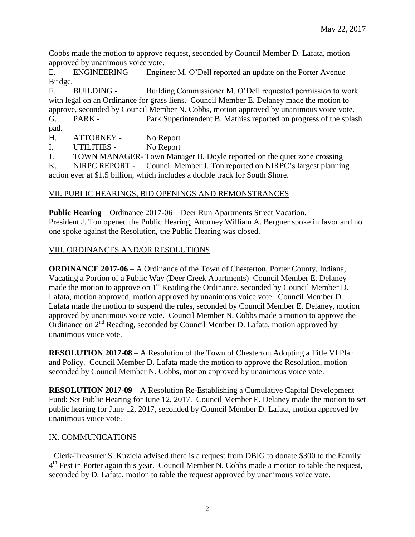Cobbs made the motion to approve request, seconded by Council Member D. Lafata, motion approved by unanimous voice vote.

E. ENGINEERING Engineer M. O'Dell reported an update on the Porter Avenue Bridge.

F. BUILDING - Building Commissioner M. O'Dell requested permission to work with legal on an Ordinance for grass liens. Council Member E. Delaney made the motion to approve, seconded by Council Member N. Cobbs, motion approved by unanimous voice vote.

G. PARK - Park Superintendent B. Mathias reported on progress of the splash pad.

H. ATTORNEY - No Report

I. UTILITIES - No Report

J. TOWN MANAGER- Town Manager B. Doyle reported on the quiet zone crossing K. NIRPC REPORT - Council Member J. Ton reported on NIRPC's largest planning

action ever at \$1.5 billion, which includes a double track for South Shore.

## VII. PUBLIC HEARINGS, BID OPENINGS AND REMONSTRANCES

**Public Hearing** – Ordinance 2017-06 – Deer Run Apartments Street Vacation. President J. Ton opened the Public Hearing, Attorney William A. Bergner spoke in favor and no one spoke against the Resolution, the Public Hearing was closed.

## VIII. ORDINANCES AND/OR RESOLUTIONS

**ORDINANCE 2017-06** – A Ordinance of the Town of Chesterton, Porter County, Indiana, Vacating a Portion of a Public Way (Deer Creek Apartments) Council Member E. Delaney made the motion to approve on  $1<sup>st</sup>$  Reading the Ordinance, seconded by Council Member D. Lafata, motion approved, motion approved by unanimous voice vote. Council Member D. Lafata made the motion to suspend the rules, seconded by Council Member E. Delaney, motion approved by unanimous voice vote. Council Member N. Cobbs made a motion to approve the Ordinance on 2<sup>nd</sup> Reading, seconded by Council Member D. Lafata, motion approved by unanimous voice vote.

**RESOLUTION 2017-08** – A Resolution of the Town of Chesterton Adopting a Title VI Plan and Policy. Council Member D. Lafata made the motion to approve the Resolution, motion seconded by Council Member N. Cobbs, motion approved by unanimous voice vote.

**RESOLUTION 2017-09** – A Resolution Re-Establishing a Cumulative Capital Development Fund: Set Public Hearing for June 12, 2017. Council Member E. Delaney made the motion to set public hearing for June 12, 2017, seconded by Council Member D. Lafata, motion approved by unanimous voice vote.

#### IX. COMMUNICATIONS

Clerk-Treasurer S. Kuziela advised there is a request from DBIG to donate \$300 to the Family 4<sup>th</sup> Fest in Porter again this year. Council Member N. Cobbs made a motion to table the request, seconded by D. Lafata, motion to table the request approved by unanimous voice vote.